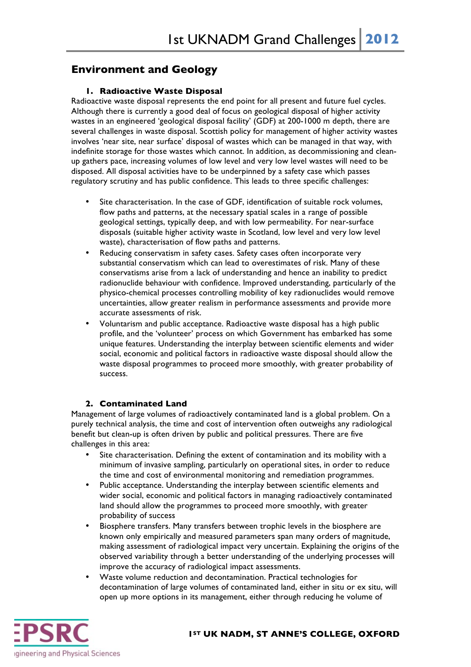# **Environment and Geology**

## **1. Radioactive Waste Disposal**

Radioactive waste disposal represents the end point for all present and future fuel cycles. Although there is currently a good deal of focus on geological disposal of higher activity wastes in an engineered 'geological disposal facility' (GDF) at 200-1000 m depth, there are several challenges in waste disposal. Scottish policy for management of higher activity wastes involves 'near site, near surface' disposal of wastes which can be managed in that way, with indefinite storage for those wastes which cannot. In addition, as decommissioning and cleanup gathers pace, increasing volumes of low level and very low level wastes will need to be disposed. All disposal activities have to be underpinned by a safety case which passes regulatory scrutiny and has public confidence. This leads to three specific challenges:

- Site characterisation. In the case of GDF, identification of suitable rock volumes, flow paths and patterns, at the necessary spatial scales in a range of possible geological settings, typically deep, and with low permeability. For near-surface disposals (suitable higher activity waste in Scotland, low level and very low level waste), characterisation of flow paths and patterns.
- Reducing conservatism in safety cases. Safety cases often incorporate very substantial conservatism which can lead to overestimates of risk. Many of these conservatisms arise from a lack of understanding and hence an inability to predict radionuclide behaviour with confidence. Improved understanding, particularly of the physico-chemical processes controlling mobility of key radionuclides would remove uncertainties, allow greater realism in performance assessments and provide more accurate assessments of risk.
- Voluntarism and public acceptance. Radioactive waste disposal has a high public profile, and the 'volunteer' process on which Government has embarked has some unique features. Understanding the interplay between scientific elements and wider social, economic and political factors in radioactive waste disposal should allow the waste disposal programmes to proceed more smoothly, with greater probability of success.

#### **2. Contaminated Land**

Management of large volumes of radioactively contaminated land is a global problem. On a purely technical analysis, the time and cost of intervention often outweighs any radiological benefit but clean-up is often driven by public and political pressures. There are five challenges in this area:

- Site characterisation. Defining the extent of contamination and its mobility with a minimum of invasive sampling, particularly on operational sites, in order to reduce the time and cost of environmental monitoring and remediation programmes.
- Public acceptance. Understanding the interplay between scientific elements and wider social, economic and political factors in managing radioactively contaminated land should allow the programmes to proceed more smoothly, with greater probability of success
- Biosphere transfers. Many transfers between trophic levels in the biosphere are known only empirically and measured parameters span many orders of magnitude, making assessment of radiological impact very uncertain. Explaining the origins of the observed variability through a better understanding of the underlying processes will improve the accuracy of radiological impact assessments.
- Waste volume reduction and decontamination. Practical technologies for decontamination of large volumes of contaminated land, either in situ or ex situ, will open up more options in its management, either through reducing he volume of